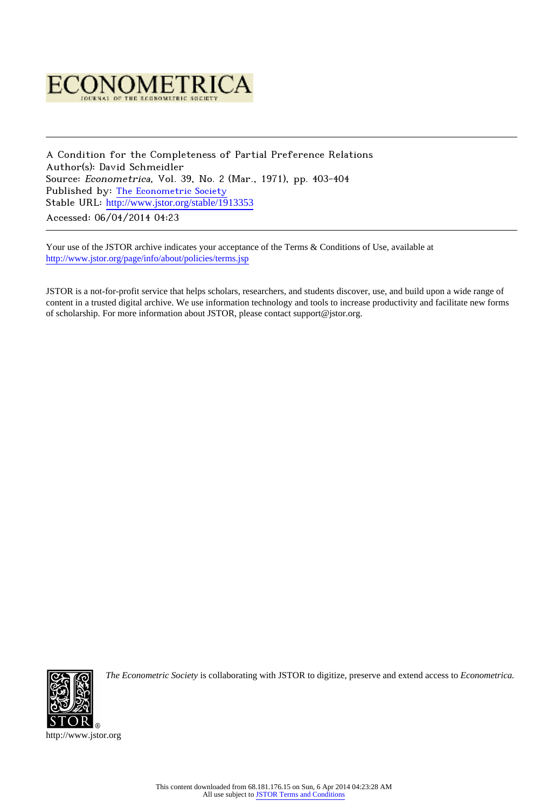

A Condition for the Completeness of Partial Preference Relations Author(s): David Schmeidler Source: Econometrica, Vol. 39, No. 2 (Mar., 1971), pp. 403-404 Published by: [The Econometric Society](http://www.jstor.org/action/showPublisher?publisherCode=econosoc) Stable URL: [http://www.jstor.org/stable/1913353](http://www.jstor.org/stable/1913353?origin=JSTOR-pdf) Accessed: 06/04/2014 04:23

Your use of the JSTOR archive indicates your acceptance of the Terms & Conditions of Use, available at <http://www.jstor.org/page/info/about/policies/terms.jsp>

JSTOR is a not-for-profit service that helps scholars, researchers, and students discover, use, and build upon a wide range of content in a trusted digital archive. We use information technology and tools to increase productivity and facilitate new forms of scholarship. For more information about JSTOR, please contact support@jstor.org.



*The Econometric Society* is collaborating with JSTOR to digitize, preserve and extend access to *Econometrica.*

http://www.jstor.org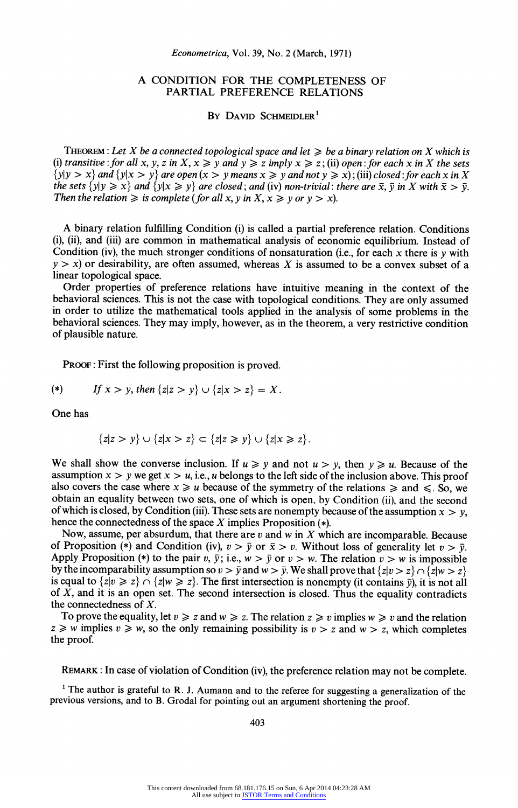**Econometrica, Vol. 39, No. 2 (March, 1971)** 

## **A CONDITION FOR THE COMPLETENESS OF PARTIAL PREFERENCE RELATIONS**

**BY DAVID SCHMEIDLER'** 

**THEOREM:** Let X be a connected topological space and let  $\geq$  be a binary relation on X which is (i) transitive : for all x, y, z in X,  $x \ge y$  and  $y \ge z$  imply  $x \ge z$ ; (ii) open : for each x in X the sets  $\{y|y > x\}$  and  $\{y|x > y\}$  are open  $(x > y$  means  $x \ge y$  and not  $y \ge x$ ); (iii) closed: for each x in X **the sets**  $\{y | y \geq x\}$  and  $\{y | x \geq y\}$  are closed; and (iv) non-trivial: there are  $\bar{x}$ ,  $\bar{y}$  in X with  $\bar{x} > \bar{y}$ . **Then the relation**  $\geq$  **is complete** (for all x, y in  $X, x \geq y$  or  $y > x$ ).

**A binary relation fulfilling Condition (i) is called a partial preference relation. Conditions (i), (ii), and (iii) are common in mathematical analysis of economic equilibrium. Instead of Condition (iv), the much stronger conditions of nonsaturation (i.e., for each x there is y with**   $y > x$ ) or desirability, are often assumed, whereas X is assumed to be a convex subset of a **linear topological space.** 

**Order properties of preference relations have intuitive meaning in the context of the behavioral sciences. This is not the case with topological conditions. They are only assumed in order to utilize the mathematical tools applied in the analysis of some problems in the behavioral sciences. They may imply, however, as in the theorem, a very restrictive condition of plausible nature.** 

**PROOF: First the following proposition is proved.** 

(\*) If 
$$
x > y
$$
, then  $\{z|z > y\} \cup \{z|x > z\} = X$ .

**One has** 

$$
\{z|z > y\} \cup \{z|x > z\} \subset \{z|z \ge y\} \cup \{z|x \ge z\}.
$$

We shall show the converse inclusion. If  $u \geq y$  and not  $u > y$ , then  $y \geq u$ . Because of the assumption  $x > y$  we get  $x > u$ , i.e., u belongs to the left side of the inclusion above. This proof also covers the case where  $x \geq u$  because of the symmetry of the relations  $\geq$  and  $\leq$ . So, we **obtain an equality between two sets, one of which is open, by Condition (ii), and the second**  of which is closed, by Condition (iii). These sets are nonempty because of the assumption  $x > y$ , **hence the connectedness of the space X implies Proposition (\*).** 

**Now, assume, per absurdum, that there are v and w in X which are incomparable. Because**  of Proposition (\*) and Condition (iv),  $v > \bar{y}$  or  $\bar{x} > v$ . Without loss of generality let  $v > \bar{y}$ . Apply Proposition (\*) to the pair v,  $\bar{y}$ ; i.e.,  $w > \bar{y}$  or  $v > w$ . The relation  $v > w$  is impossible by the incomparability assumption so  $v > \bar{y}$  and  $w > \bar{y}$ . We shall prove that  $\{z|v > z\} \cap \{z|w > z\}$ is equal to  $\{z|v \geq z\} \cap \{z|w \geq z\}$ . The first intersection is nonempty (it contains  $\bar{y}$ ), it is not all **of X, and it is an open set. The second intersection is closed. Thus the equality contradicts the connectedness of X.** 

To prove the equality, let  $v \ge z$  and  $w \ge z$ . The relation  $z \ge v$  implies  $w \ge v$  and the relation  $z \geq w$  implies  $v \geq w$ , so the only remaining possibility is  $v > z$  and  $w > z$ , which completes **the proof.** 

**REMARK: In case of violation of Condition (iv), the preference relation may not be complete.** 

<sup>1</sup> The author is grateful to R. J. Aumann and to the referee for suggesting a generalization of the **previous versions, and to B. Grodal for pointing out an argument shortening the proof.**